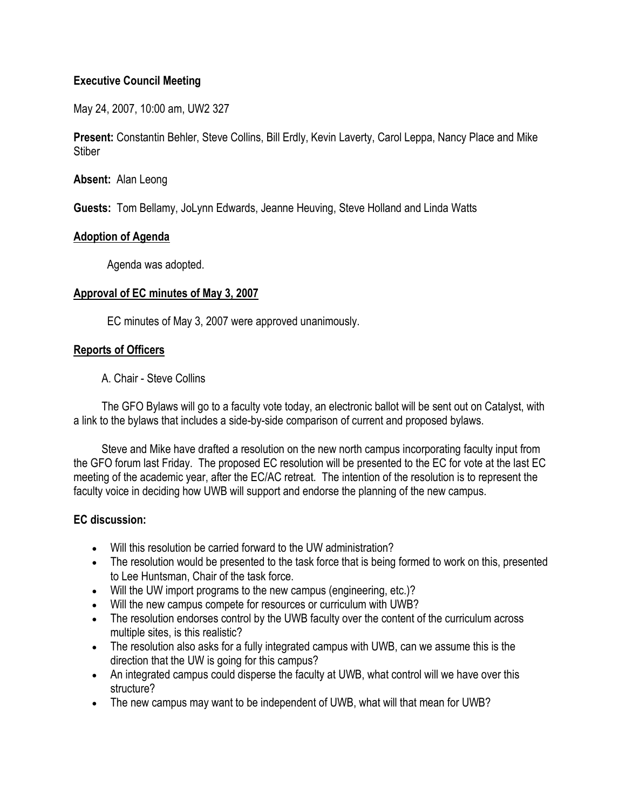## **Executive Council Meeting**

May 24, 2007, 10:00 am, UW2 327

**Present:** Constantin Behler, Steve Collins, Bill Erdly, Kevin Laverty, Carol Leppa, Nancy Place and Mike **Stiber** 

**Absent:** Alan Leong

**Guests:** Tom Bellamy, JoLynn Edwards, Jeanne Heuving, Steve Holland and Linda Watts

#### **Adoption of Agenda**

Agenda was adopted.

#### **Approval of EC minutes of May 3, 2007**

EC minutes of May 3, 2007 were approved unanimously.

## **Reports of Officers**

A. Chair - Steve Collins

 The GFO Bylaws will go to a faculty vote today, an electronic ballot will be sent out on Catalyst, with a link to the bylaws that includes a side-by-side comparison of current and proposed bylaws.

 Steve and Mike have drafted a resolution on the new north campus incorporating faculty input from the GFO forum last Friday. The proposed EC resolution will be presented to the EC for vote at the last EC meeting of the academic year, after the EC/AC retreat. The intention of the resolution is to represent the faculty voice in deciding how UWB will support and endorse the planning of the new campus.

## **EC discussion:**

- Will this resolution be carried forward to the UW administration?
- The resolution would be presented to the task force that is being formed to work on this, presented to Lee Huntsman, Chair of the task force.
- Will the UW import programs to the new campus (engineering, etc.)?
- Will the new campus compete for resources or curriculum with UWB?
- The resolution endorses control by the UWB faculty over the content of the curriculum across multiple sites, is this realistic?
- The resolution also asks for a fully integrated campus with UWB, can we assume this is the direction that the UW is going for this campus?
- An integrated campus could disperse the faculty at UWB, what control will we have over this structure?
- The new campus may want to be independent of UWB, what will that mean for UWB?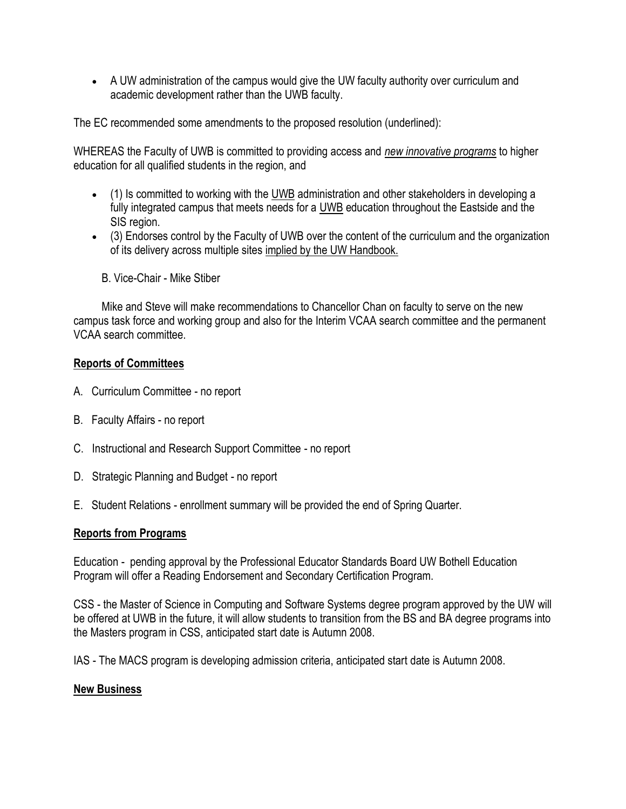A UW administration of the campus would give the UW faculty authority over curriculum and academic development rather than the UWB faculty.

The EC recommended some amendments to the proposed resolution (underlined):

WHEREAS the Faculty of UWB is committed to providing access and *new innovative programs* to higher education for all qualified students in the region, and

- (1) Is committed to working with the UWB administration and other stakeholders in developing a fully integrated campus that meets needs for a UWB education throughout the Eastside and the SIS region.
- (3) Endorses control by the Faculty of UWB over the content of the curriculum and the organization of its delivery across multiple sites implied by the UW Handbook.
	- B. Vice-Chair Mike Stiber

 Mike and Steve will make recommendations to Chancellor Chan on faculty to serve on the new campus task force and working group and also for the Interim VCAA search committee and the permanent VCAA search committee.

## **Reports of Committees**

- A. Curriculum Committee no report
- B. Faculty Affairs no report
- C. Instructional and Research Support Committee no report
- D. Strategic Planning and Budget no report
- E. Student Relations enrollment summary will be provided the end of Spring Quarter.

## **Reports from Programs**

Education - pending approval by the Professional Educator Standards Board UW Bothell Education Program will offer a Reading Endorsement and Secondary Certification Program.

CSS - the Master of Science in Computing and Software Systems degree program approved by the UW will be offered at UWB in the future, it will allow students to transition from the BS and BA degree programs into the Masters program in CSS, anticipated start date is Autumn 2008.

IAS - The MACS program is developing admission criteria, anticipated start date is Autumn 2008.

## **New Business**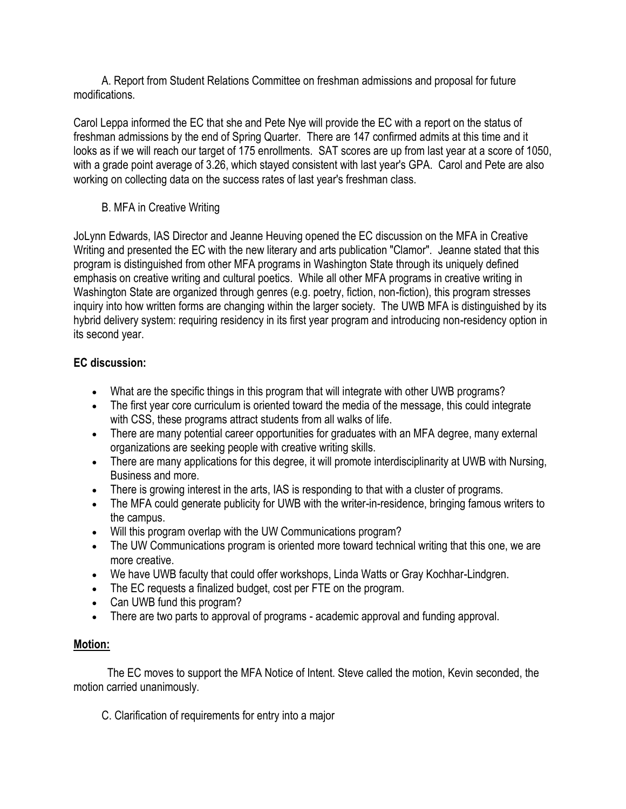A. Report from Student Relations Committee on freshman admissions and proposal for future modifications.

Carol Leppa informed the EC that she and Pete Nye will provide the EC with a report on the status of freshman admissions by the end of Spring Quarter. There are 147 confirmed admits at this time and it looks as if we will reach our target of 175 enrollments. SAT scores are up from last year at a score of 1050, with a grade point average of 3.26, which stayed consistent with last year's GPA. Carol and Pete are also working on collecting data on the success rates of last year's freshman class.

## B. MFA in Creative Writing

JoLynn Edwards, IAS Director and Jeanne Heuving opened the EC discussion on the MFA in Creative Writing and presented the EC with the new literary and arts publication "Clamor". Jeanne stated that this program is distinguished from other MFA programs in Washington State through its uniquely defined emphasis on creative writing and cultural poetics. While all other MFA programs in creative writing in Washington State are organized through genres (e.g. poetry, fiction, non-fiction), this program stresses inquiry into how written forms are changing within the larger society. The UWB MFA is distinguished by its hybrid delivery system: requiring residency in its first year program and introducing non-residency option in its second year.

## **EC discussion:**

- What are the specific things in this program that will integrate with other UWB programs?
- The first year core curriculum is oriented toward the media of the message, this could integrate with CSS, these programs attract students from all walks of life.
- There are many potential career opportunities for graduates with an MFA degree, many external organizations are seeking people with creative writing skills.
- There are many applications for this degree, it will promote interdisciplinarity at UWB with Nursing, Business and more.
- There is growing interest in the arts, IAS is responding to that with a cluster of programs.
- The MFA could generate publicity for UWB with the writer-in-residence, bringing famous writers to the campus.
- Will this program overlap with the UW Communications program?
- The UW Communications program is oriented more toward technical writing that this one, we are more creative.
- We have UWB faculty that could offer workshops, Linda Watts or Gray Kochhar-Lindgren.
- The EC requests a finalized budget, cost per FTE on the program.
- Can UWB fund this program?
- There are two parts to approval of programs academic approval and funding approval.

# **Motion:**

 The EC moves to support the MFA Notice of Intent. Steve called the motion, Kevin seconded, the motion carried unanimously.

C. Clarification of requirements for entry into a major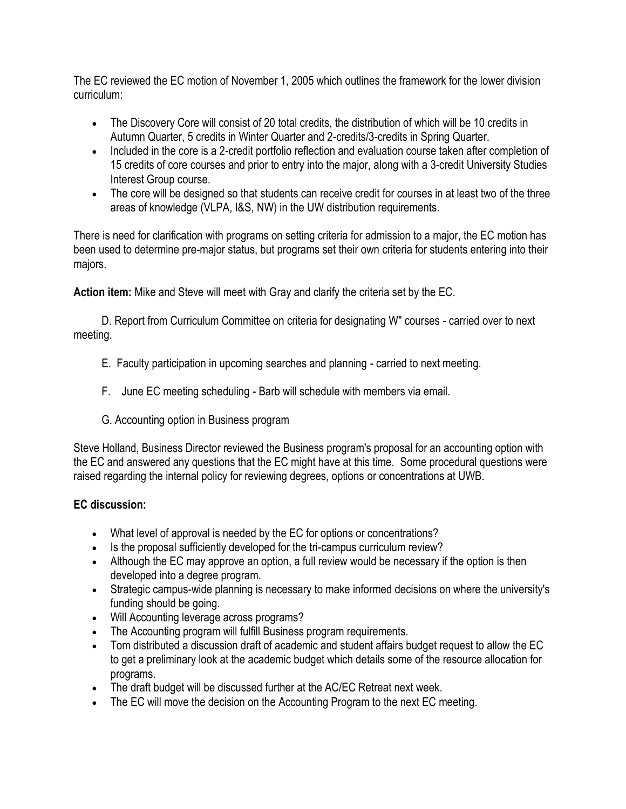The EC reviewed the EC motion of November 1, 2005 which outlines the framework for the lower division curriculum:

- The Discovery Core will consist of 20 total credits, the distribution of which will be 10 credits in Autumn Quarter, 5 credits in Winter Quarter and 2-credits/3-credits in Spring Quarter.
- Included in the core is a 2-credit portfolio reflection and evaluation course taken after completion of 15 credits of core courses and prior to entry into the major, along with a 3-credit University Studies Interest Group course.
- The core will be designed so that students can receive credit for courses in at least two of the three areas of knowledge (VLPA, I&S, NW) in the UW distribution requirements.

There is need for clarification with programs on setting criteria for admission to a major, the EC motion has been used to determine pre-major status, but programs set their own criteria for students entering into their majors.

**Action item:** Mike and Steve will meet with Gray and clarify the criteria set by the EC.

 D. Report from Curriculum Committee on criteria for designating W" courses - carried over to next meeting.

- E. Faculty participation in upcoming searches and planning carried to next meeting.
- F. June EC meeting scheduling Barb will schedule with members via email.
- G. Accounting option in Business program

Steve Holland, Business Director reviewed the Business program's proposal for an accounting option with the EC and answered any questions that the EC might have at this time. Some procedural questions were raised regarding the internal policy for reviewing degrees, options or concentrations at UWB.

# **EC discussion:**

- What level of approval is needed by the EC for options or concentrations?
- Is the proposal sufficiently developed for the tri-campus curriculum review?
- Although the EC may approve an option, a full review would be necessary if the option is then developed into a degree program.
- Strategic campus-wide planning is necessary to make informed decisions on where the university's funding should be going.
- Will Accounting leverage across programs?
- The Accounting program will fulfill Business program requirements.
- Tom distributed a discussion draft of academic and student affairs budget request to allow the EC to get a preliminary look at the academic budget which details some of the resource allocation for programs.
- The draft budget will be discussed further at the AC/EC Retreat next week.
- The EC will move the decision on the Accounting Program to the next EC meeting.